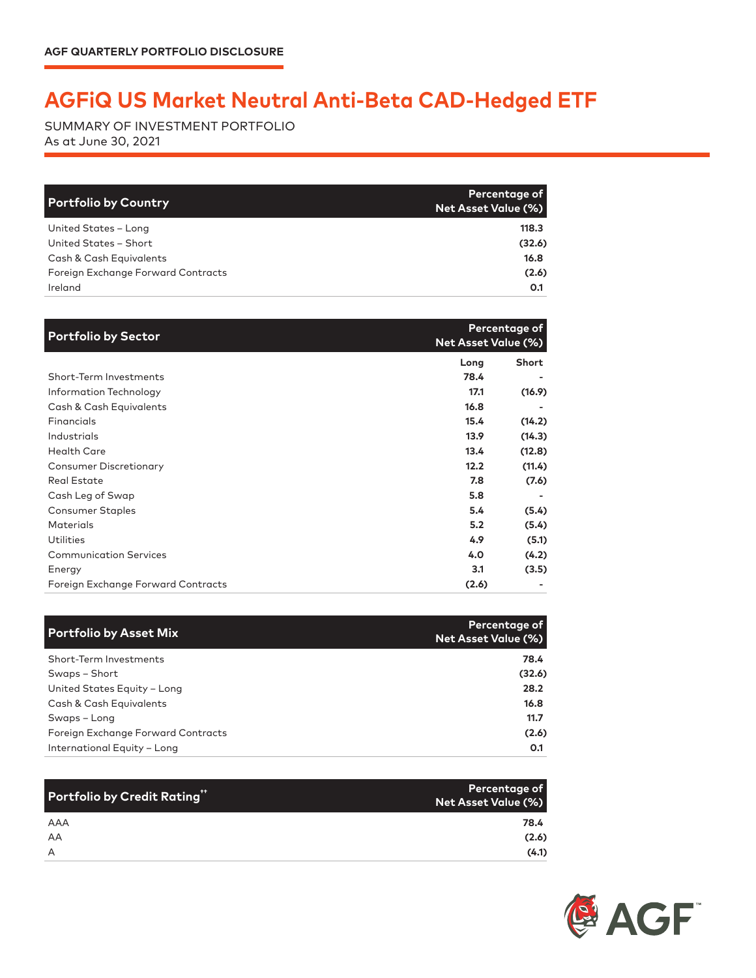## **AGFiQ US Market Neutral Anti-Beta CAD-Hedged ETF**

SUMMARY OF INVESTMENT PORTFOLIO As at June 30, 2021

| <b>Portfolio by Country</b>        | <b>Percentage of</b><br><b>Net Asset Value (%)</b> |
|------------------------------------|----------------------------------------------------|
| United States - Long               | 118.3                                              |
| United States - Short              | (32.6)                                             |
| Cash & Cash Equivalents            | 16.8                                               |
| Foreign Exchange Forward Contracts | (2.6)                                              |
| Ireland                            | O.1                                                |

| <b>Portfolio by Sector</b>         | <b>Net Asset Value (%)</b> | Percentage of |
|------------------------------------|----------------------------|---------------|
|                                    | Long                       | Short         |
| Short-Term Investments             | 78.4                       |               |
| Information Technology             | 17.1                       | (16.9)        |
| Cash & Cash Equivalents            | 16.8                       |               |
| Financials                         | 15.4                       | (14.2)        |
| Industrials                        | 13.9                       | (14.3)        |
| <b>Health Care</b>                 | 13.4                       | (12.8)        |
| <b>Consumer Discretionary</b>      | 12.2                       | (11.4)        |
| <b>Real Estate</b>                 | 7.8                        | (7.6)         |
| Cash Leg of Swap                   | 5.8                        |               |
| <b>Consumer Staples</b>            | 5.4                        | (5.4)         |
| Materials                          | 5.2                        | (5.4)         |
| Utilities                          | 4.9                        | (5.1)         |
| <b>Communication Services</b>      | 4.0                        | (4.2)         |
| Energy                             | 3.1                        | (3.5)         |
| Foreign Exchange Forward Contracts | (2.6)                      |               |

| <b>Portfolio by Asset Mix</b>      | Percentage of<br><b>Net Asset Value (%)</b> |
|------------------------------------|---------------------------------------------|
| Short-Term Investments             | 78.4                                        |
| Swaps – Short                      | (32.6)                                      |
| United States Equity - Long        | 28.2                                        |
| Cash & Cash Equivalents            | 16.8                                        |
| Swaps - Long                       | 11.7                                        |
| Foreign Exchange Forward Contracts | (2.6)                                       |
| International Equity - Long        | O.1                                         |

| Portfolio by Credit Rating" | Percentage of<br>Net Asset Value (%) |
|-----------------------------|--------------------------------------|
| AAA                         | 78.4                                 |
| AA                          | (2.6)                                |
| A                           | (4.1)                                |